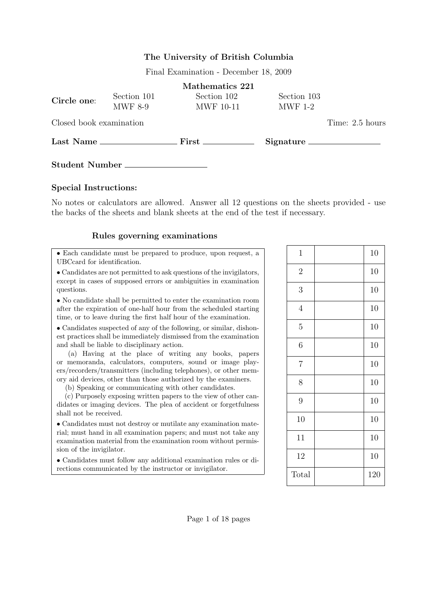## The University of British Columbia

Final Examination - December 18, 2009

|                         |                                   | Mathematics 221                 |                               |                 |
|-------------------------|-----------------------------------|---------------------------------|-------------------------------|-----------------|
| Circle one:             | Section 101<br><b>MWF 8-9</b>     | Section 102<br><b>MWF</b> 10-11 | Section 103<br><b>MWF 1-2</b> |                 |
| Closed book examination |                                   |                                 |                               | Time: 2.5 hours |
|                         |                                   |                                 | $Signature \_\_\_\_\_\_\_\_$  |                 |
|                         | Student Number __________________ |                                 |                               |                 |

## Special Instructions:

No notes or calculators are allowed. Answer all 12 questions on the sheets provided - use the backs of the sheets and blank sheets at the end of the test if necessary.

## Rules governing examinations

• Each candidate must be prepared to produce, upon request, a UBCcard for identification.

• Candidates are not permitted to ask questions of the invigilators, except in cases of supposed errors or ambiguities in examination questions.

• No candidate shall be permitted to enter the examination room after the expiration of one-half hour from the scheduled starting time, or to leave during the first half hour of the examination.

• Candidates suspected of any of the following, or similar, dishonest practices shall be immediately dismissed from the examination and shall be liable to disciplinary action.

(a) Having at the place of writing any books, papers or memoranda, calculators, computers, sound or image players/recorders/transmitters (including telephones), or other memory aid devices, other than those authorized by the examiners.

(b) Speaking or communicating with other candidates.

(c) Purposely exposing written papers to the view of other candidates or imaging devices. The plea of accident or forgetfulness shall not be received.

• Candidates must not destroy or mutilate any examination material; must hand in all examination papers; and must not take any examination material from the examination room without permission of the invigilator.

• Candidates must follow any additional examination rules or directions communicated by the instructor or invigilator.

| $\mathbf{1}$     | 10  |
|------------------|-----|
| $\overline{2}$   | 10  |
| 3                | 10  |
| $\overline{4}$   | 10  |
| $\overline{5}$   | 10  |
| $\boldsymbol{6}$ | 10  |
| $\overline{7}$   | 10  |
| 8                | 10  |
| 9                | 10  |
| 10               | 10  |
| 11               | 10  |
| 12               | 10  |
| Total            | 120 |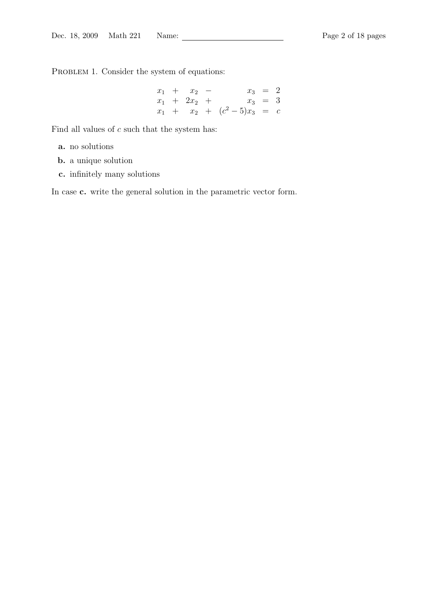PROBLEM 1. Consider the system of equations:

$$
\begin{array}{rcl}\nx_1 & + & x_2 & - & x_3 & = & 2 \\
x_1 & + & 2x_2 & + & x_3 & = & 3 \\
x_1 & + & x_2 & + & (c^2 - 5)x_3 & = & c\n\end{array}
$$

Find all values of  $c$  such that the system has:

- a. no solutions
- b. a unique solution
- c. infinitely many solutions

In case c. write the general solution in the parametric vector form.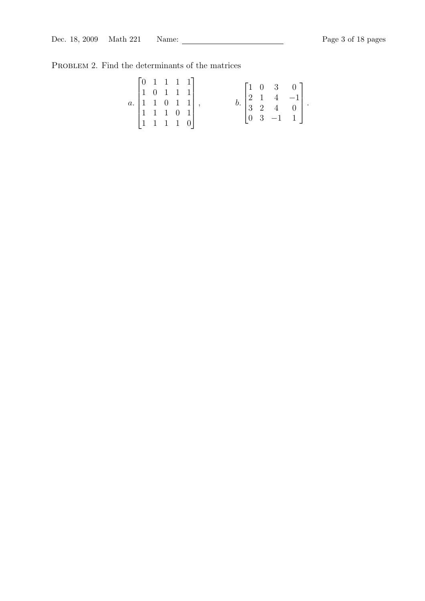PROBLEM 2. Find the determinants of the matrices

$$
a. \begin{bmatrix} 0 & 1 & 1 & 1 & 1 \\ 1 & 0 & 1 & 1 & 1 \\ 1 & 1 & 0 & 1 & 1 \\ 1 & 1 & 1 & 0 & 1 \\ 1 & 1 & 1 & 1 & 0 \end{bmatrix}, \qquad b. \begin{bmatrix} 1 & 0 & 3 & 0 \\ 2 & 1 & 4 & -1 \\ 3 & 2 & 4 & 0 \\ 0 & 3 & -1 & 1 \end{bmatrix}.
$$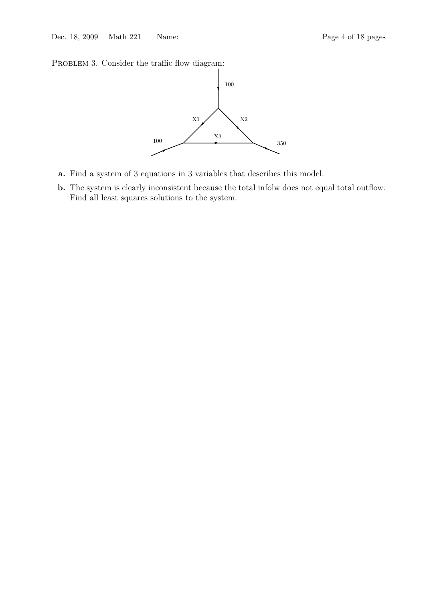PROBLEM 3. Consider the traffic flow diagram:



- a. Find a system of 3 equations in 3 variables that describes this model.
- b. The system is clearly inconsistent because the total infolw does not equal total outflow. Find all least squares solutions to the system.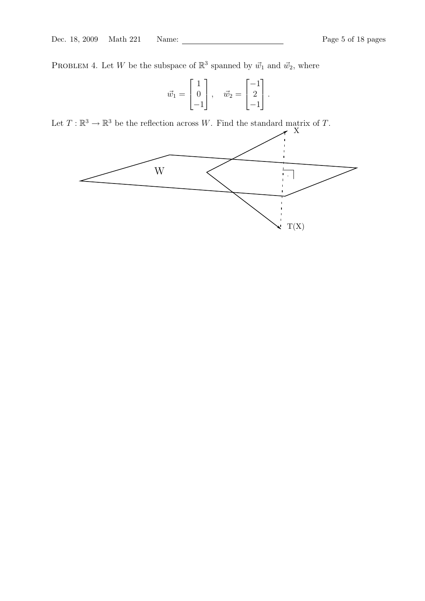PROBLEM 4. Let W be the subspace of  $\mathbb{R}^3$  spanned by  $\vec{w}_1$  and  $\vec{w}_2$ , where

$$
\vec{w}_1 = \begin{bmatrix} 1 \\ 0 \\ -1 \end{bmatrix}, \quad \vec{w}_2 = \begin{bmatrix} -1 \\ 2 \\ -1 \end{bmatrix}.
$$

Let  $T : \mathbb{R}^3 \to \mathbb{R}^3$  be the reflection across W. Find the standard matrix of T.

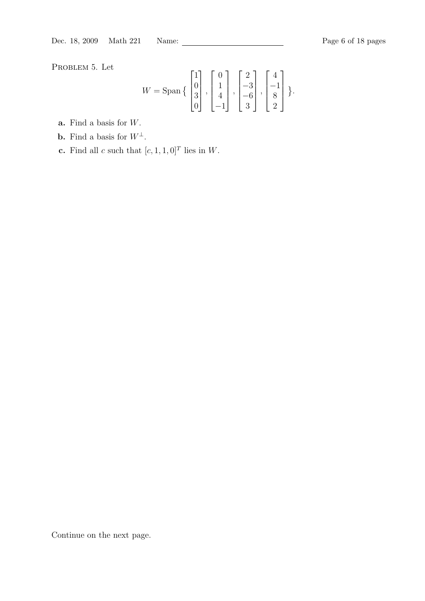PROBLEM 5. Let

$$
W = \text{Span} \left\{ \begin{bmatrix} 1 \\ 0 \\ 3 \\ 0 \end{bmatrix}, \begin{bmatrix} 0 \\ 1 \\ 4 \\ -1 \end{bmatrix}, \begin{bmatrix} 2 \\ -3 \\ -6 \\ 3 \end{bmatrix}, \begin{bmatrix} 4 \\ -1 \\ 8 \\ 2 \end{bmatrix} \right\}.
$$

- a. Find a basis for W.
- **b.** Find a basis for  $W^{\perp}$ .
- **c.** Find all c such that  $[c, 1, 1, 0]^T$  lies in W.

Continue on the next page.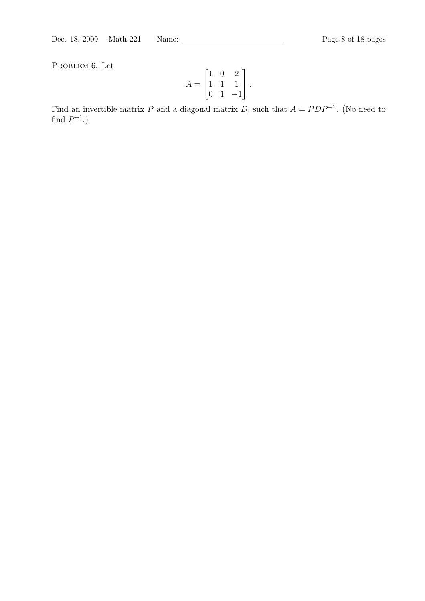Dec. 18, 2009 Math 221 Name: Page 8 of 18 pages

PROBLEM 6. Let

$$
A = \begin{bmatrix} 1 & 0 & 2 \\ 1 & 1 & 1 \\ 0 & 1 & -1 \end{bmatrix}.
$$

Find an invertible matrix P and a diagonal matrix D, such that  $A = PDP^{-1}$ . (No need to find  $P^{-1}$ .)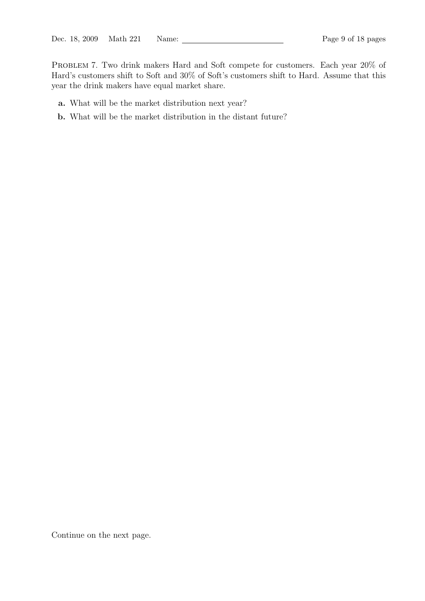PROBLEM 7. Two drink makers Hard and Soft compete for customers. Each year 20% of Hard's customers shift to Soft and 30% of Soft's customers shift to Hard. Assume that this year the drink makers have equal market share.

- a. What will be the market distribution next year?
- b. What will be the market distribution in the distant future?

Continue on the next page.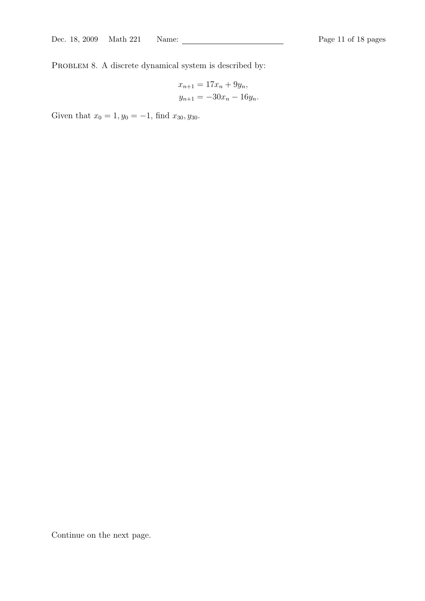PROBLEM 8. A discrete dynamical system is described by:

$$
x_{n+1} = 17x_n + 9y_n,
$$
  

$$
y_{n+1} = -30x_n - 16y_n.
$$

Given that  $x_0 = 1, y_0 = -1$ , find  $x_{30}, y_{30}$ .

Continue on the next page.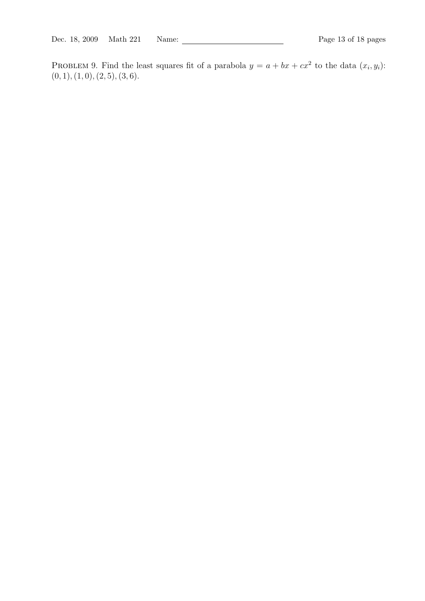PROBLEM 9. Find the least squares fit of a parabola  $y = a + bx + cx^2$  to the data  $(x_i, y_i)$ :  $(0, 1), (1, 0), (2, 5), (3, 6).$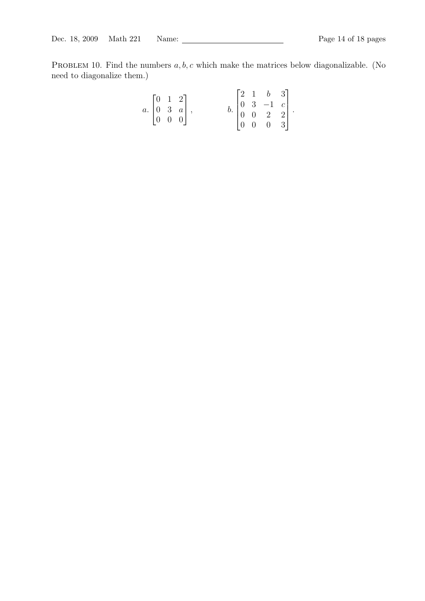PROBLEM 10. Find the numbers  $a, b, c$  which make the matrices below diagonalizable. (No need to diagonalize them.)

$$
a. \begin{bmatrix} 0 & 1 & 2 \\ 0 & 3 & a \\ 0 & 0 & 0 \end{bmatrix}, \qquad b. \begin{bmatrix} 2 & 1 & b & 3 \\ 0 & 3 & -1 & c \\ 0 & 0 & 2 & 2 \\ 0 & 0 & 0 & 3 \end{bmatrix}.
$$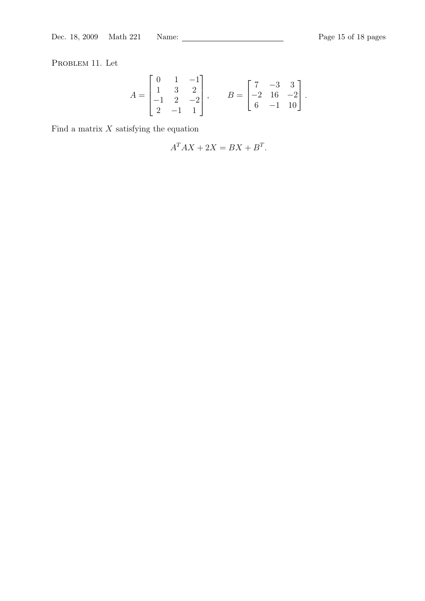PROBLEM 11. Let

$$
A = \begin{bmatrix} 0 & 1 & -1 \\ 1 & 3 & 2 \\ -1 & 2 & -2 \\ 2 & -1 & 1 \end{bmatrix}, \qquad B = \begin{bmatrix} 7 & -3 & 3 \\ -2 & 16 & -2 \\ 6 & -1 & 10 \end{bmatrix}.
$$

Find a matrix  $X$  satisfying the equation

$$
A^T A X + 2X = B X + B^T.
$$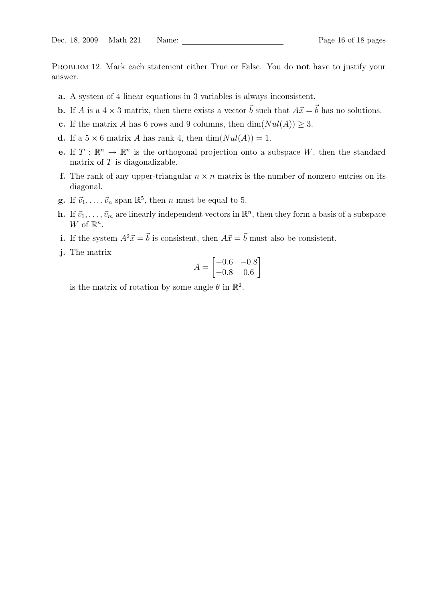PROBLEM 12. Mark each statement either True or False. You do not have to justify your answer.

- a. A system of 4 linear equations in 3 variables is always inconsistent.
- **b.** If A is a  $4 \times 3$  matrix, then there exists a vector  $\vec{b}$  such that  $A\vec{x} = \vec{b}$  has no solutions.
- c. If the matrix A has 6 rows and 9 columns, then  $\dim(Nul(A)) > 3$ .
- d. If a  $5 \times 6$  matrix A has rank 4, then  $\dim(Nul(A)) = 1$ .
- **e.** If  $T : \mathbb{R}^n \to \mathbb{R}^n$  is the orthogonal projection onto a subspace W, then the standard matrix of  $T$  is diagonalizable.
- f. The rank of any upper-triangular  $n \times n$  matrix is the number of nonzero entries on its diagonal.
- **g.** If  $\vec{v}_1, \ldots, \vec{v}_n$  span  $\mathbb{R}^5$ , then *n* must be equal to 5.
- **h.** If  $\vec{v}_1, \ldots, \vec{v}_m$  are linearly independent vectors in  $\mathbb{R}^n$ , then they form a basis of a subspace  $W$  of  $\mathbb{R}^n$ .
- i. If the system  $A^2\vec{x} = \vec{b}$  is consistent, then  $A\vec{x} = \vec{b}$  must also be consistent.
- j. The matrix

$$
A = \begin{bmatrix} -0.6 & -0.8\\ -0.8 & 0.6 \end{bmatrix}
$$

is the matrix of rotation by some angle  $\theta$  in  $\mathbb{R}^2$ .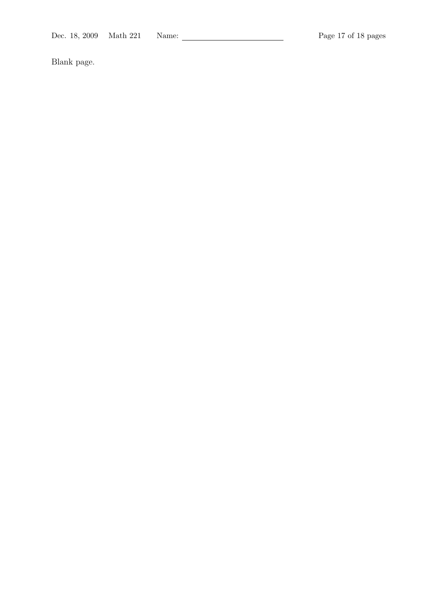Dec. 18, 2009 Math 221 Name: 2009 Math 221 Name: Page 17 of 18 pages